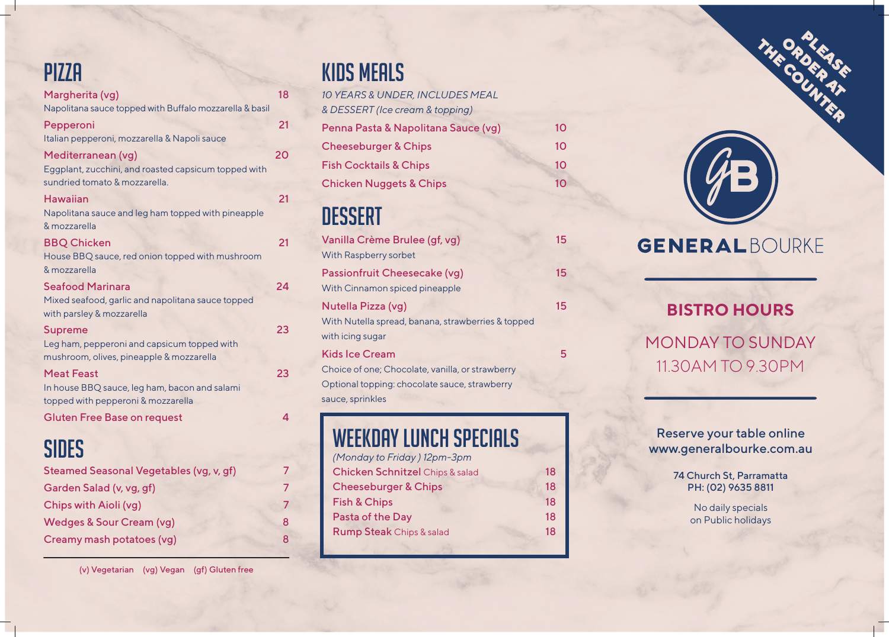Reserve your table online www.generalbourke.com.au

> 74 Church St, Parramatta PH: (02) 9635 8811

> > No daily specials on Public holidays

#### **PIZZA**

| Margherita (vg)<br>Napolitana sauce topped with Buffalo mozzarella & basil                                  | 18 |
|-------------------------------------------------------------------------------------------------------------|----|
| Pepperoni<br>Italian pepperoni, mozzarella & Napoli sauce                                                   | 21 |
| Mediterranean (vg)<br>Eggplant, zucchini, and roasted capsicum topped with<br>sundried tomato & mozzarella. | 20 |
| <b>Hawaiian</b><br>Napolitana sauce and leg ham topped with pineapple<br>& mozzarella                       | 21 |
| <b>BBQ Chicken</b><br>House BBQ sauce, red onion topped with mushroom<br>& mozzarella                       | 21 |
| <b>Seafood Marinara</b><br>Mixed seafood, garlic and napolitana sauce topped<br>with parsley & mozzarella   | 24 |
| <b>Supreme</b><br>Leg ham, pepperoni and capsicum topped with<br>mushroom, olives, pineapple & mozzarella   | 23 |
| <b>Meat Feast</b><br>In house BBQ sauce, leg ham, bacon and salami<br>topped with pepperoni & mozzarella    | 23 |
| <b>Gluten Free Base on request</b>                                                                          | Δ  |
| SIDES                                                                                                       |    |
| Steamed Seasonal Vegetables (vg, v, gf)                                                                     |    |
| Garden Salad (v, vg, gf)                                                                                    | 7  |
| Chips with Aioli (vg)                                                                                       | 7  |
| <b>Wedges &amp; Sour Cream (vg)</b>                                                                         | 8  |
| Creamy mash potatoes (vg)                                                                                   | 8  |

#### **BISTRO HOURS**

MONDAY TO SUNDAY 11.30AM TO 9.30PM

## Kids Meals

| 10 YEARS & UNDER, INCLUDES MEAL     |    |
|-------------------------------------|----|
| & DESSERT (Ice cream & topping)     |    |
| Penna Pasta & Napolitana Sauce (vg) | 10 |
| <b>Cheeseburger &amp; Chips</b>     | 10 |
| <b>Fish Cocktails &amp; Chips</b>   | 10 |
| <b>Chicken Nuggets &amp; Chips</b>  | 10 |
|                                     |    |

#### **DESSERT**

| Vanilla Crème Brulee (gf, vg)<br>With Raspberry sorbet                                                                                         | 15 |
|------------------------------------------------------------------------------------------------------------------------------------------------|----|
| <b>Passionfruit Cheesecake (vg)</b><br>With Cinnamon spiced pineapple                                                                          | 15 |
| Nutella Pizza (vg)<br>With Nutella spread, banana, strawberries & topped<br>with icing sugar                                                   | 15 |
| <b>Kids Ice Cream</b><br>Choice of one; Chocolate, vanilla, or strawberry<br>Optional topping: chocolate sauce, strawberry<br>sauce, sprinkles | 5  |
|                                                                                                                                                |    |

#### WEEKDAY LUNCH SPECIALS

| (Monday to Friday) 12pm-3pm            |    |
|----------------------------------------|----|
| <b>Chicken Schnitzel</b> Chips & salad | 18 |
| <b>Cheeseburger &amp; Chips</b>        | 18 |
| <b>Fish &amp; Chips</b>                | 18 |
| Pasta of the Day                       | 18 |
| <b>Rump Steak Chips &amp; salad</b>    | 18 |
|                                        |    |



PLEASE

THE COUNTY

OR TEAS

#### GENERALBOURKE